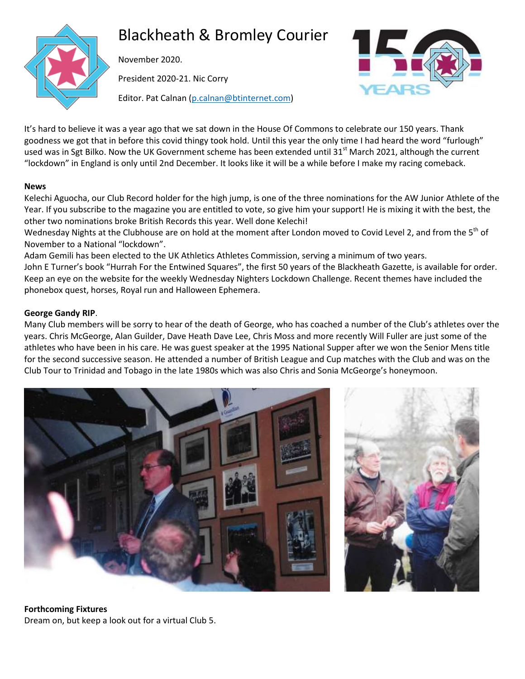

# Blackheath & Bromley Courier

November 2020.

President 2020-21. Nic Corry



Editor. Pat Calnan [\(p.calnan@btinternet.com\)](mailto:p.calnan@btinternet.com)

It's hard to believe it was a year ago that we sat down in the House Of Commons to celebrate our 150 years. Thank goodness we got that in before this covid thingy took hold. Until this year the only time I had heard the word "furlough" used was in Sgt Bilko. Now the UK Government scheme has been extended until 31<sup>st</sup> March 2021, although the current "lockdown" in England is only until 2nd December. It looks like it will be a while before I make my racing comeback.

#### **News**

Kelechi Aguocha, our Club Record holder for the high jump, is one of the three nominations for the AW Junior Athlete of the Year. If you subscribe to the magazine you are entitled to vote, so give him your support! He is mixing it with the best, the other two nominations broke British Records this year. Well done Kelechi!

Wednesday Nights at the Clubhouse are on hold at the moment after London moved to Covid Level 2, and from the 5<sup>th</sup> of November to a National "lockdown".

Adam Gemili has been elected to the UK Athletics Athletes Commission, serving a minimum of two years. John E Turner's book "Hurrah For the Entwined Squares", the first 50 years of the Blackheath Gazette, is available for order.

Keep an eye on the website for the weekly Wednesday Nighters Lockdown Challenge. Recent themes have included the phonebox quest, horses, Royal run and Halloween Ephemera.

#### **George Gandy RIP**.

Many Club members will be sorry to hear of the death of George, who has coached a number of the Club's athletes over the years. Chris McGeorge, Alan Guilder, Dave Heath Dave Lee, Chris Moss and more recently Will Fuller are just some of the athletes who have been in his care. He was guest speaker at the 1995 National Supper after we won the Senior Mens title for the second successive season. He attended a number of British League and Cup matches with the Club and was on the Club Tour to Trinidad and Tobago in the late 1980s which was also Chris and Sonia McGeorge's honeymoon.





# **Forthcoming Fixtures**

Dream on, but keep a look out for a virtual Club 5.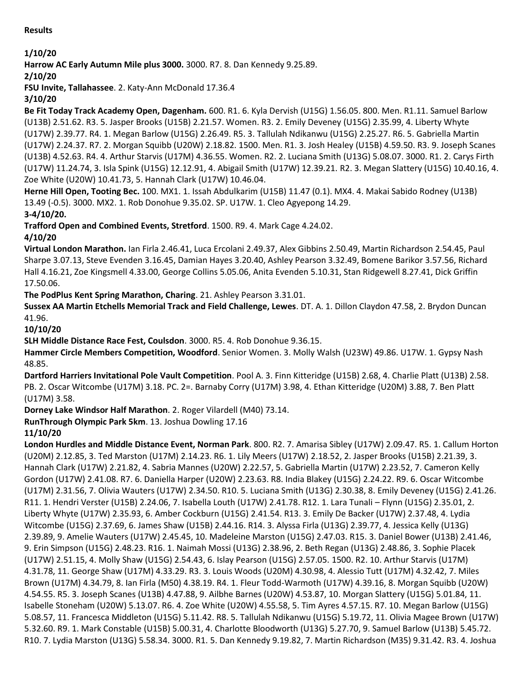**Results**

## **1/10/20**

**Harrow AC Early Autumn Mile plus 3000.** 3000. R7. 8. Dan Kennedy 9.25.89.

**2/10/20**

**FSU Invite, Tallahassee**. 2. Katy-Ann McDonald 17.36.4

**3/10/20**

**Be Fit Today Track Academy Open, Dagenham.** 600. R1. 6. Kyla Dervish (U15G) 1.56.05. 800. Men. R1.11. Samuel Barlow (U13B) 2.51.62. R3. 5. Jasper Brooks (U15B) 2.21.57. Women. R3. 2. Emily Deveney (U15G) 2.35.99, 4. Liberty Whyte (U17W) 2.39.77. R4. 1. Megan Barlow (U15G) 2.26.49. R5. 3. Tallulah Ndikanwu (U15G) 2.25.27. R6. 5. Gabriella Martin (U17W) 2.24.37. R7. 2. Morgan Squibb (U20W) 2.18.82. 1500. Men. R1. 3. Josh Healey (U15B) 4.59.50. R3. 9. Joseph Scanes (U13B) 4.52.63. R4. 4. Arthur Starvis (U17M) 4.36.55. Women. R2. 2. Luciana Smith (U13G) 5.08.07. 3000. R1. 2. Carys Firth (U17W) 11.24.74, 3. Isla Spink (U15G) 12.12.91, 4. Abigail Smith (U17W) 12.39.21. R2. 3. Megan Slattery (U15G) 10.40.16, 4. Zoe White (U20W) 10.41.73, 5. Hannah Clark (U17W) 10.46.04.

**Herne Hill Open, Tooting Bec.** 100. MX1. 1. Issah Abdulkarim (U15B) 11.47 (0.1). MX4. 4. Makai Sabido Rodney (U13B) 13.49 (-0.5). 3000. MX2. 1. Rob Donohue 9.35.02. SP. U17W. 1. Cleo Agyepong 14.29.

**3-4/10/20.**

**Trafford Open and Combined Events, Stretford**. 1500. R9. 4. Mark Cage 4.24.02.

**4/10/20**

**Virtual London Marathon.** Ian Firla 2.46.41, Luca Ercolani 2.49.37, Alex Gibbins 2.50.49, Martin Richardson 2.54.45, Paul Sharpe 3.07.13, Steve Evenden 3.16.45, Damian Hayes 3.20.40, Ashley Pearson 3.32.49, Bomene Barikor 3.57.56, Richard Hall 4.16.21, Zoe Kingsmell 4.33.00, George Collins 5.05.06, Anita Evenden 5.10.31, Stan Ridgewell 8.27.41, Dick Griffin 17.50.06.

**The PodPlus Kent Spring Marathon, Charing**. 21. Ashley Pearson 3.31.01.

**Sussex AA Martin Etchells Memorial Track and Field Challenge, Lewes**. DT. A. 1. Dillon Claydon 47.58, 2. Brydon Duncan 41.96.

**10/10/20**

**SLH Middle Distance Race Fest, Coulsdon**. 3000. R5. 4. Rob Donohue 9.36.15.

**Hammer Circle Members Competition, Woodford**. Senior Women. 3. Molly Walsh (U23W) 49.86. U17W. 1. Gypsy Nash 48.85.

**Dartford Harriers Invitational Pole Vault Competition**. Pool A. 3. Finn Kitteridge (U15B) 2.68, 4. Charlie Platt (U13B) 2.58. PB. 2. Oscar Witcombe (U17M) 3.18. PC. 2=. Barnaby Corry (U17M) 3.98, 4. Ethan Kitteridge (U20M) 3.88, 7. Ben Platt (U17M) 3.58.

**Dorney Lake Windsor Half Marathon**. 2. Roger Vilardell (M40) 73.14.

**RunThrough Olympic Park 5km**. 13. Joshua Dowling 17.16

**11/10/20**

**London Hurdles and Middle Distance Event, Norman Park**. 800. R2. 7. Amarisa Sibley (U17W) 2.09.47. R5. 1. Callum Horton (U20M) 2.12.85, 3. Ted Marston (U17M) 2.14.23. R6. 1. Lily Meers (U17W) 2.18.52, 2. Jasper Brooks (U15B) 2.21.39, 3. Hannah Clark (U17W) 2.21.82, 4. Sabria Mannes (U20W) 2.22.57, 5. Gabriella Martin (U17W) 2.23.52, 7. Cameron Kelly Gordon (U17W) 2.41.08. R7. 6. Daniella Harper (U20W) 2.23.63. R8. India Blakey (U15G) 2.24.22. R9. 6. Oscar Witcombe (U17M) 2.31.56, 7. Olivia Wauters (U17W) 2.34.50. R10. 5. Luciana Smith (U13G) 2.30.38, 8. Emily Deveney (U15G) 2.41.26. R11. 1. Hendri Verster (U15B) 2.24.06, 7. Isabella Louth (U17W) 2.41.78. R12. 1. Lara Tunali – Flynn (U15G) 2.35.01, 2. Liberty Whyte (U17W) 2.35.93, 6. Amber Cockburn (U15G) 2.41.54. R13. 3. Emily De Backer (U17W) 2.37.48, 4. Lydia Witcombe (U15G) 2.37.69, 6. James Shaw (U15B) 2.44.16. R14. 3. Alyssa Firla (U13G) 2.39.77, 4. Jessica Kelly (U13G) 2.39.89, 9. Amelie Wauters (U17W) 2.45.45, 10. Madeleine Marston (U15G) 2.47.03. R15. 3. Daniel Bower (U13B) 2.41.46, 9. Erin Simpson (U15G) 2.48.23. R16. 1. Naimah Mossi (U13G) 2.38.96, 2. Beth Regan (U13G) 2.48.86, 3. Sophie Placek (U17W) 2.51.15, 4. Molly Shaw (U15G) 2.54.43, 6. Islay Pearson (U15G) 2.57.05. 1500. R2. 10. Arthur Starvis (U17M) 4.31.78, 11. George Shaw (U17M) 4.33.29. R3. 3. Louis Woods (U20M) 4.30.98, 4. Alessio Tutt (U17M) 4.32.42, 7. Miles Brown (U17M) 4.34.79, 8. Ian Firla (M50) 4.38.19. R4. 1. Fleur Todd-Warmoth (U17W) 4.39.16, 8. Morgan Squibb (U20W) 4.54.55. R5. 3. Joseph Scanes (U13B) 4.47.88, 9. Ailbhe Barnes (U20W) 4.53.87, 10. Morgan Slattery (U15G) 5.01.84, 11. Isabelle Stoneham (U20W) 5.13.07. R6. 4. Zoe White (U20W) 4.55.58, 5. Tim Ayres 4.57.15. R7. 10. Megan Barlow (U15G) 5.08.57, 11. Francesca Middleton (U15G) 5.11.42. R8. 5. Tallulah Ndikanwu (U15G) 5.19.72, 11. Olivia Magee Brown (U17W) 5.32.60. R9. 1. Mark Constable (U15B) 5.00.31, 4. Charlotte Bloodworth (U13G) 5.27.70, 9. Samuel Barlow (U13B) 5.45.72. R10. 7. Lydia Marston (U13G) 5.58.34. 3000. R1. 5. Dan Kennedy 9.19.82, 7. Martin Richardson (M35) 9.31.42. R3. 4. Joshua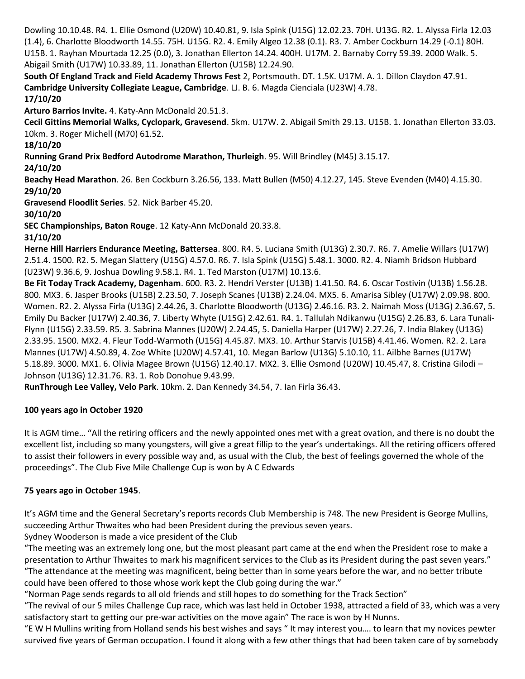Dowling 10.10.48. R4. 1. Ellie Osmond (U20W) 10.40.81, 9. Isla Spink (U15G) 12.02.23. 70H. U13G. R2. 1. Alyssa Firla 12.03 (1.4), 6. Charlotte Bloodworth 14.55. 75H. U15G. R2. 4. Emily Algeo 12.38 (0.1). R3. 7. Amber Cockburn 14.29 (-0.1) 80H. U15B. 1. Rayhan Mourtada 12.25 (0.0), 3. Jonathan Ellerton 14.24. 400H. U17M. 2. Barnaby Corry 59.39. 2000 Walk. 5. Abigail Smith (U17W) 10.33.89, 11. Jonathan Ellerton (U15B) 12.24.90.

**South Of England Track and Field Academy Throws Fest** 2, Portsmouth. DT. 1.5K. U17M. A. 1. Dillon Claydon 47.91. **Cambridge University Collegiate League, Cambridge**. LJ. B. 6. Magda Cienciala (U23W) 4.78.

#### **17/10/20**

**Arturo Barrios Invite.** 4. Katy-Ann McDonald 20.51.3.

**Cecil Gittins Memorial Walks, Cyclopark, Gravesend**. 5km. U17W. 2. Abigail Smith 29.13. U15B. 1. Jonathan Ellerton 33.03. 10km. 3. Roger Michell (M70) 61.52.

**18/10/20**

**Running Grand Prix Bedford Autodrome Marathon, Thurleigh**. 95. Will Brindley (M45) 3.15.17.

**24/10/20**

**Beachy Head Marathon**. 26. Ben Cockburn 3.26.56, 133. Matt Bullen (M50) 4.12.27, 145. Steve Evenden (M40) 4.15.30. **29/10/20**

**Gravesend Floodlit Series**. 52. Nick Barber 45.20.

**30/10/20**

**SEC Championships, Baton Rouge**. 12 Katy-Ann McDonald 20.33.8.

**31/10/20**

**Herne Hill Harriers Endurance Meeting, Battersea**. 800. R4. 5. Luciana Smith (U13G) 2.30.7. R6. 7. Amelie Willars (U17W) 2.51.4. 1500. R2. 5. Megan Slattery (U15G) 4.57.0. R6. 7. Isla Spink (U15G) 5.48.1. 3000. R2. 4. Niamh Bridson Hubbard (U23W) 9.36.6, 9. Joshua Dowling 9.58.1. R4. 1. Ted Marston (U17M) 10.13.6.

**Be Fit Today Track Academy, Dagenham**. 600. R3. 2. Hendri Verster (U13B) 1.41.50. R4. 6. Oscar Tostivin (U13B) 1.56.28. 800. MX3. 6. Jasper Brooks (U15B) 2.23.50, 7. Joseph Scanes (U13B) 2.24.04. MX5. 6. Amarisa Sibley (U17W) 2.09.98. 800. Women. R2. 2. Alyssa Firla (U13G) 2.44.26, 3. Charlotte Bloodworth (U13G) 2.46.16. R3. 2. Naimah Moss (U13G) 2.36.67, 5. Emily Du Backer (U17W) 2.40.36, 7. Liberty Whyte (U15G) 2.42.61. R4. 1. Tallulah Ndikanwu (U15G) 2.26.83, 6. Lara Tunali-Flynn (U15G) 2.33.59. R5. 3. Sabrina Mannes (U20W) 2.24.45, 5. Daniella Harper (U17W) 2.27.26, 7. India Blakey (U13G) 2.33.95. 1500. MX2. 4. Fleur Todd-Warmoth (U15G) 4.45.87. MX3. 10. Arthur Starvis (U15B) 4.41.46. Women. R2. 2. Lara Mannes (U17W) 4.50.89, 4. Zoe White (U20W) 4.57.41, 10. Megan Barlow (U13G) 5.10.10, 11. Ailbhe Barnes (U17W) 5.18.89. 3000. MX1. 6. Olivia Magee Brown (U15G) 12.40.17. MX2. 3. Ellie Osmond (U20W) 10.45.47, 8. Cristina Gilodi – Johnson (U13G) 12.31.76. R3. 1. Rob Donohue 9.43.99.

**RunThrough Lee Valley, Velo Park**. 10km. 2. Dan Kennedy 34.54, 7. Ian Firla 36.43.

#### **100 years ago in October 1920**

It is AGM time… "All the retiring officers and the newly appointed ones met with a great ovation, and there is no doubt the excellent list, including so many youngsters, will give a great fillip to the year's undertakings. All the retiring officers offered to assist their followers in every possible way and, as usual with the Club, the best of feelings governed the whole of the proceedings". The Club Five Mile Challenge Cup is won by A C Edwards

#### **75 years ago in October 1945**.

It's AGM time and the General Secretary's reports records Club Membership is 748. The new President is George Mullins, succeeding Arthur Thwaites who had been President during the previous seven years.

Sydney Wooderson is made a vice president of the Club

"The meeting was an extremely long one, but the most pleasant part came at the end when the President rose to make a presentation to Arthur Thwaites to mark his magnificent services to the Club as its President during the past seven years." "The attendance at the meeting was magnificent, being better than in some years before the war, and no better tribute could have been offered to those whose work kept the Club going during the war."

"Norman Page sends regards to all old friends and still hopes to do something for the Track Section"

"The revival of our 5 miles Challenge Cup race, which was last held in October 1938, attracted a field of 33, which was a very satisfactory start to getting our pre-war activities on the move again" The race is won by H Nunns.

"E W H Mullins writing from Holland sends his best wishes and says " It may interest you…. to learn that my novices pewter survived five years of German occupation. I found it along with a few other things that had been taken care of by somebody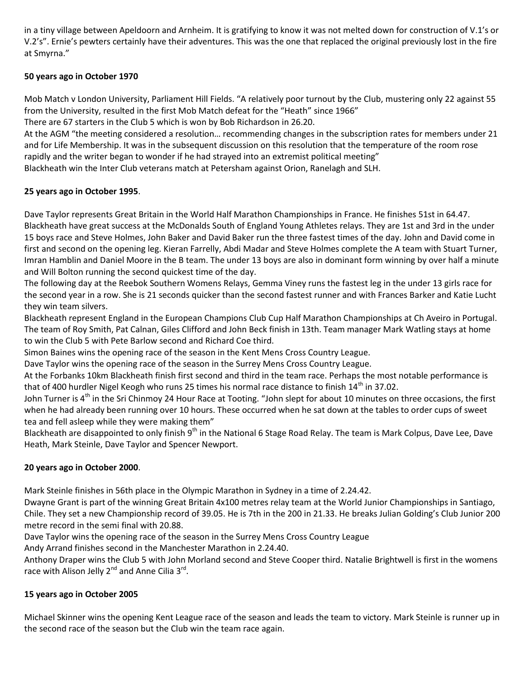in a tiny village between Apeldoorn and Arnheim. It is gratifying to know it was not melted down for construction of V.1's or V.2's". Ernie's pewters certainly have their adventures. This was the one that replaced the original previously lost in the fire at Smyrna."

#### **50 years ago in October 1970**

Mob Match v London University, Parliament Hill Fields. "A relatively poor turnout by the Club, mustering only 22 against 55 from the University, resulted in the first Mob Match defeat for the "Heath" since 1966"

There are 67 starters in the Club 5 which is won by Bob Richardson in 26.20.

At the AGM "the meeting considered a resolution… recommending changes in the subscription rates for members under 21 and for Life Membership. It was in the subsequent discussion on this resolution that the temperature of the room rose rapidly and the writer began to wonder if he had strayed into an extremist political meeting"

Blackheath win the Inter Club veterans match at Petersham against Orion, Ranelagh and SLH.

#### **25 years ago in October 1995**.

Dave Taylor represents Great Britain in the World Half Marathon Championships in France. He finishes 51st in 64.47. Blackheath have great success at the McDonalds South of England Young Athletes relays. They are 1st and 3rd in the under 15 boys race and Steve Holmes, John Baker and David Baker run the three fastest times of the day. John and David come in first and second on the opening leg. Kieran Farrelly, Abdi Madar and Steve Holmes complete the A team with Stuart Turner, Imran Hamblin and Daniel Moore in the B team. The under 13 boys are also in dominant form winning by over half a minute and Will Bolton running the second quickest time of the day.

The following day at the Reebok Southern Womens Relays, Gemma Viney runs the fastest leg in the under 13 girls race for the second year in a row. She is 21 seconds quicker than the second fastest runner and with Frances Barker and Katie Lucht they win team silvers.

Blackheath represent England in the European Champions Club Cup Half Marathon Championships at Ch Aveiro in Portugal. The team of Roy Smith, Pat Calnan, Giles Clifford and John Beck finish in 13th. Team manager Mark Watling stays at home to win the Club 5 with Pete Barlow second and Richard Coe third.

Simon Baines wins the opening race of the season in the Kent Mens Cross Country League.

Dave Taylor wins the opening race of the season in the Surrey Mens Cross Country League.

At the Forbanks 10km Blackheath finish first second and third in the team race. Perhaps the most notable performance is that of 400 hurdler Nigel Keogh who runs 25 times his normal race distance to finish 14<sup>th</sup> in 37.02.

John Turner is 4<sup>th</sup> in the Sri Chinmoy 24 Hour Race at Tooting. "John slept for about 10 minutes on three occasions, the first when he had already been running over 10 hours. These occurred when he sat down at the tables to order cups of sweet tea and fell asleep while they were making them"

Blackheath are disappointed to only finish 9<sup>th</sup> in the National 6 Stage Road Relay. The team is Mark Colpus, Dave Lee, Dave Heath, Mark Steinle, Dave Taylor and Spencer Newport.

#### **20 years ago in October 2000**.

Mark Steinle finishes in 56th place in the Olympic Marathon in Sydney in a time of 2.24.42.

Dwayne Grant is part of the winning Great Britain 4x100 metres relay team at the World Junior Championships in Santiago, Chile. They set a new Championship record of 39.05. He is 7th in the 200 in 21.33. He breaks Julian Golding's Club Junior 200 metre record in the semi final with 20.88.

Dave Taylor wins the opening race of the season in the Surrey Mens Cross Country League

Andy Arrand finishes second in the Manchester Marathon in 2.24.40.

Anthony Draper wins the Club 5 with John Morland second and Steve Cooper third. Natalie Brightwell is first in the womens race with Alison Jelly 2<sup>nd</sup> and Anne Cilia 3<sup>rd</sup>.

### **15 years ago in October 2005**

Michael Skinner wins the opening Kent League race of the season and leads the team to victory. Mark Steinle is runner up in the second race of the season but the Club win the team race again.